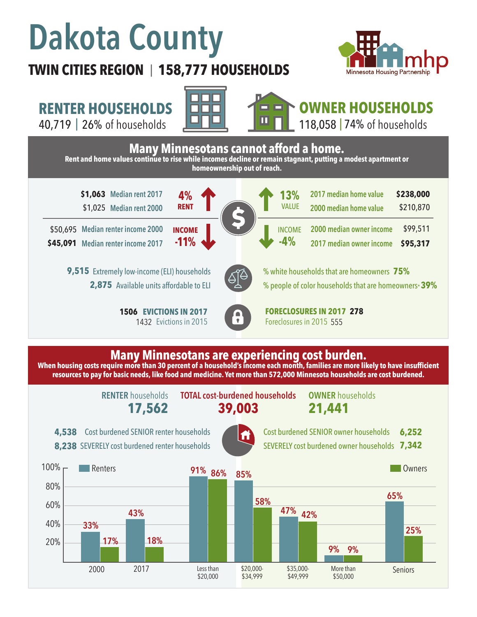# **Dakota County**

## **TWIN CITIES REGION 158,777 HOUSEHOLDS**  |



\$210,870

\$99,511 **\$95,317**

**RENTER HOUSEHOLDS**

40,719 | of households 26% 74%



**4%**

**RENT**

**-11%**

**INCOME**



### **OWNER HOUSEHOLDS** 118,058 | 74% of households

**Many Minnesotans cannot afford a home. Rent and home values continue to rise while incomes decline or remain stagnant, putting a modest apartment or homeownership out of reach.**

**\$1,063** Median rent 2017 **4% 4% 41 41 41 41 41 41 41 41 41 41 41 41 41 41 41 41 41 41 41 41 41 41 41 41 41 41 41 41 41 41** \$1,025 **Median rent 2000**

**Median renter income 2000**  \$50,695 **Median renter income 2017 \$45,091**

> 9,515 Extremely low-income (ELI) households 2,875 Available units affordable to ELI

> > **1506 EVICTIONS IN 2017** 1432 Evictions in 2015



% white households that are homeowners **75%** % people of color households that are homeowners\* **39%**

**2000 median owner income 2017 median owner income** 

**2017 median home value 2000 median home value** 

**EVICTIONS IN 2017 FORECLOSURES IN 2017 278** Foreclosures in 2015 555

**13%**

VALUE

INCOME

**-4%**

## **Many Minnesotans are experiencing cost burden.**

When housing costs require more than 30 percent of a household's income each month, families are more likely to have insufficient **resources to pay for basic needs, like food and medicine. Yet more than 572,000 Minnesota households are cost burdened.**

**RENTER** households

**17,562 39,003 TOTAL cost-burdened households OWNER** households

**21,441**

Cost burdened SENIOR renter households **4,538** 8,238 SEVERELY cost burdened renter households



Cost burdened SENIOR owner households SEVERELY cost burdened owner households **7,342 6,252**